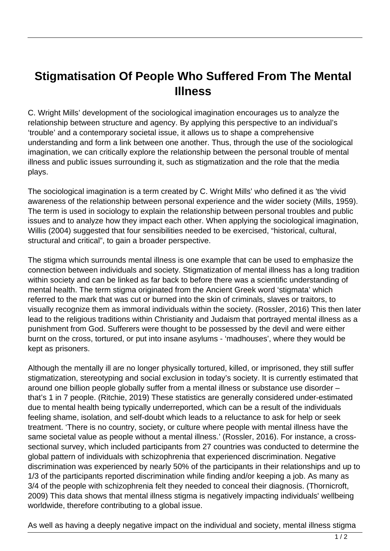## **Stigmatisation Of People Who Suffered From The Mental Illness**

C. Wright Mills' development of the sociological imagination encourages us to analyze the relationship between structure and agency. By applying this perspective to an individual's 'trouble' and a contemporary societal issue, it allows us to shape a comprehensive understanding and form a link between one another. Thus, through the use of the sociological imagination, we can critically explore the relationship between the personal trouble of mental illness and public issues surrounding it, such as stigmatization and the role that the media plays.

The sociological imagination is a term created by C. Wright Mills' who defined it as 'the vivid awareness of the relationship between personal experience and the wider society (Mills, 1959). The term is used in sociology to explain the relationship between personal troubles and public issues and to analyze how they impact each other. When applying the sociological imagination, Willis (2004) suggested that four sensibilities needed to be exercised, "historical, cultural, structural and critical", to gain a broader perspective.

The stigma which surrounds mental illness is one example that can be used to emphasize the connection between individuals and society. Stigmatization of mental illness has a long tradition within society and can be linked as far back to before there was a scientific understanding of mental health. The term stigma originated from the Ancient Greek word 'stigmata' which referred to the mark that was cut or burned into the skin of criminals, slaves or traitors, to visually recognize them as immoral individuals within the society. (Rossler, 2016) This then later lead to the religious traditions within Christianity and Judaism that portrayed mental illness as a punishment from God. Sufferers were thought to be possessed by the devil and were either burnt on the cross, tortured, or put into insane asylums - 'madhouses', where they would be kept as prisoners.

Although the mentally ill are no longer physically tortured, killed, or imprisoned, they still suffer stigmatization, stereotyping and social exclusion in today's society. It is currently estimated that around one billion people globally suffer from a mental illness or substance use disorder – that's 1 in 7 people. (Ritchie, 2019) These statistics are generally considered under-estimated due to mental health being typically underreported, which can be a result of the individuals feeling shame, isolation, and self-doubt which leads to a reluctance to ask for help or seek treatment. 'There is no country, society, or culture where people with mental illness have the same societal value as people without a mental illness.' (Rossler, 2016). For instance, a crosssectional survey, which included participants from 27 countries was conducted to determine the global pattern of individuals with schizophrenia that experienced discrimination. Negative discrimination was experienced by nearly 50% of the participants in their relationships and up to 1/3 of the participants reported discrimination while finding and/or keeping a job. As many as 3/4 of the people with schizophrenia felt they needed to conceal their diagnosis. (Thornicroft, 2009) This data shows that mental illness stigma is negatively impacting individuals' wellbeing worldwide, therefore contributing to a global issue.

As well as having a deeply negative impact on the individual and society, mental illness stigma